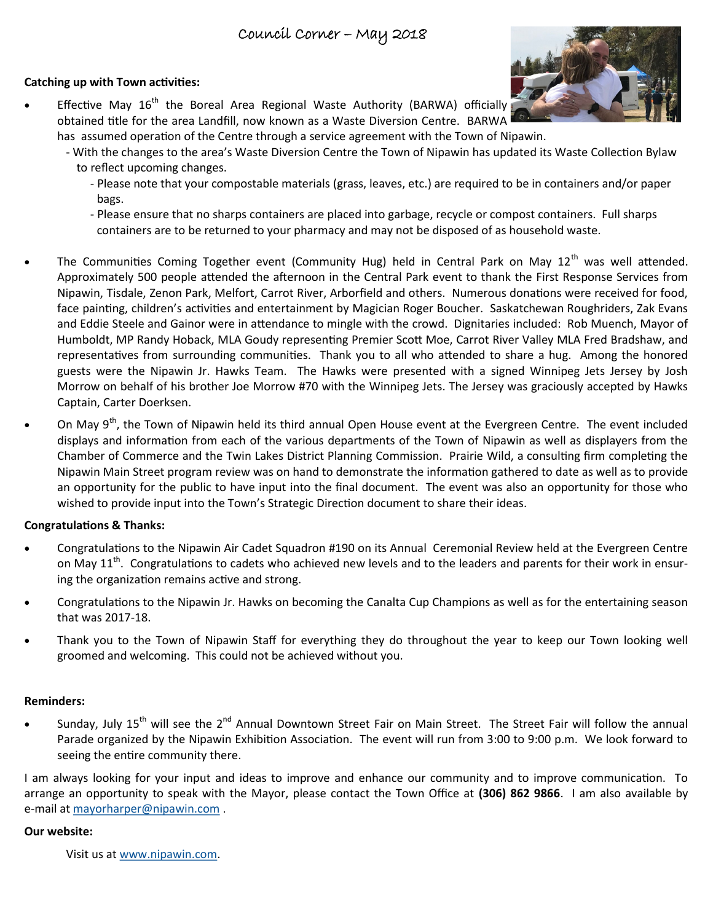# Council Corner – May 2018

## **Catching up with Town activities:**

Effective May  $16<sup>th</sup>$  the Boreal Area Regional Waste Authority (BARWA) officially obtained title for the area Landfill, now known as a Waste Diversion Centre. BARWA has assumed operation of the Centre through a service agreement with the Town of Nipawin.

- With the changes to the area's Waste Diversion Centre the Town of Nipawin has updated its Waste Collection Bylaw to reflect upcoming changes.
	- Please note that your compostable materials (grass, leaves, etc.) are required to be in containers and/or paper bags.
	- Please ensure that no sharps containers are placed into garbage, recycle or compost containers. Full sharps containers are to be returned to your pharmacy and may not be disposed of as household waste.
- The Communities Coming Together event (Community Hug) held in Central Park on May 12<sup>th</sup> was well attended. Approximately 500 people attended the afternoon in the Central Park event to thank the First Response Services from Nipawin, Tisdale, Zenon Park, Melfort, Carrot River, Arborfield and others. Numerous donations were received for food, face painting, children's activities and entertainment by Magician Roger Boucher. Saskatchewan Roughriders, Zak Evans and Eddie Steele and Gainor were in attendance to mingle with the crowd. Dignitaries included: Rob Muench, Mayor of Humboldt, MP Randy Hoback, MLA Goudy representing Premier Scott Moe, Carrot River Valley MLA Fred Bradshaw, and representatives from surrounding communities. Thank you to all who attended to share a hug. Among the honored guests were the Nipawin Jr. Hawks Team. The Hawks were presented with a signed Winnipeg Jets Jersey by Josh Morrow on behalf of his brother Joe Morrow #70 with the Winnipeg Jets. The Jersey was graciously accepted by Hawks Captain, Carter Doerksen.
- On May 9<sup>th</sup>, the Town of Nipawin held its third annual Open House event at the Evergreen Centre. The event included displays and information from each of the various departments of the Town of Nipawin as well as displayers from the Chamber of Commerce and the Twin Lakes District Planning Commission. Prairie Wild, a consulting firm completing the Nipawin Main Street program review was on hand to demonstrate the information gathered to date as well as to provide an opportunity for the public to have input into the final document. The event was also an opportunity for those who wished to provide input into the Town's Strategic Direction document to share their ideas.

### **Congratulations & Thanks:**

- Congratulations to the Nipawin Air Cadet Squadron #190 on its Annual Ceremonial Review held at the Evergreen Centre on May  $11^{th}$ . Congratulations to cadets who achieved new levels and to the leaders and parents for their work in ensuring the organization remains active and strong.
- Congratulations to the Nipawin Jr. Hawks on becoming the Canalta Cup Champions as well as for the entertaining season that was 2017-18.
- Thank you to the Town of Nipawin Staff for everything they do throughout the year to keep our Town looking well groomed and welcoming. This could not be achieved without you.

### **Reminders:**

Sunday, July 15<sup>th</sup> will see the 2<sup>nd</sup> Annual Downtown Street Fair on Main Street. The Street Fair will follow the annual Parade organized by the Nipawin Exhibition Association. The event will run from 3:00 to 9:00 p.m. We look forward to seeing the entire community there.

I am always looking for your input and ideas to improve and enhance our community and to improve communication. To arrange an opportunity to speak with the Mayor, please contact the Town Office at **(306) 862 9866**. I am also available by e-mail at [mayorharper@nipawin.com](mailto:mayorharper@nipawin.com) .

#### **Our website:**

Visit us at [www.nipawin.com.](http://www.nipawin.com)